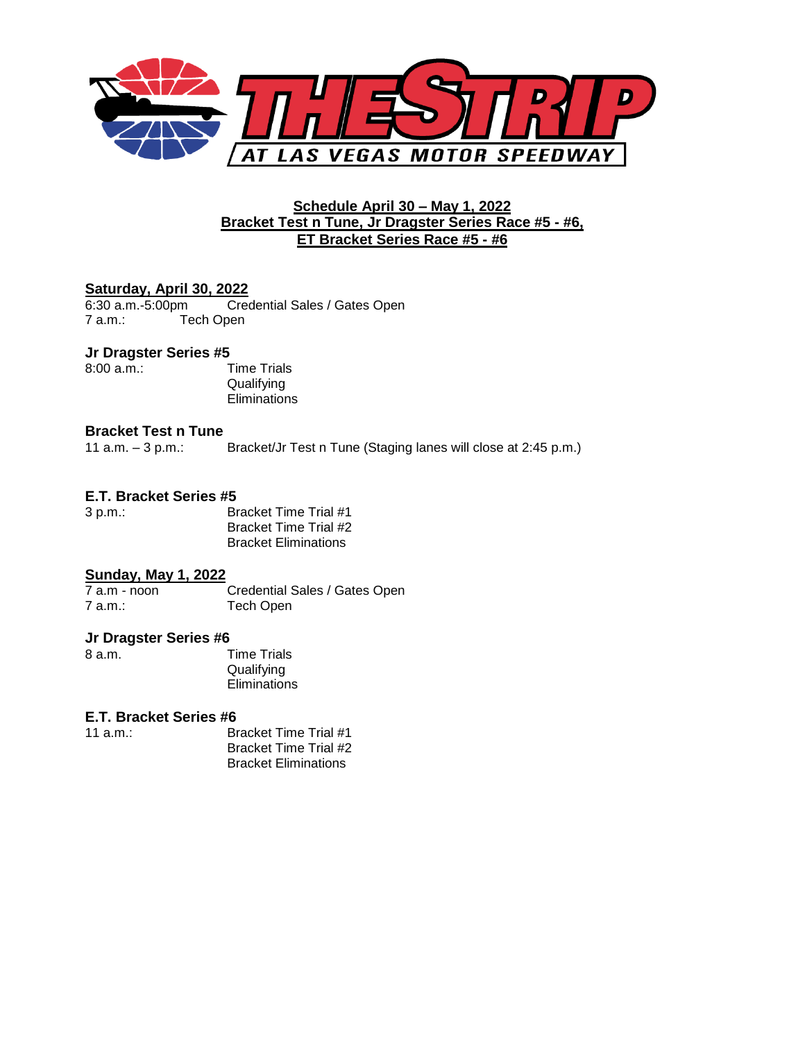

### **Schedule April 30 – May 1, 2022 Bracket Test n Tune, Jr Dragster Series Race #5 - #6, ET Bracket Series Race #5 - #6**

### **Saturday, April 30, 2022**

6:30 a.m.-5:00pm Credential Sales / Gates Open 7 a.m.: Tech Open

#### **Jr Dragster Series #5**

8:00 a.m.: Time Trials

**Qualifying Eliminations** 

#### **Bracket Test n Tune**

11 a.m. – 3 p.m.: Bracket/Jr Test n Tune (Staging lanes will close at 2:45 p.m.)

#### **E.T. Bracket Series #5**

3 p.m.: Bracket Time Trial #1 Bracket Time Trial #2 Bracket Eliminations

# **Sunday, May 1, 2022**

7 a.m - noon Credential Sales / Gates Open 7 a.m.: Tech Open

#### **Jr Dragster Series #6**

8 a.m. Time Trials **Qualifying Eliminations** 

## **E.T. Bracket Series #6**

11 a.m.: Bracket Time Trial #1 Bracket Time Trial #2 Bracket Eliminations